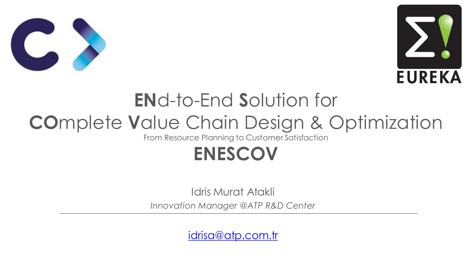



# **EN**d-to-End **S**olution for **CO**mplete **V**alue Chain Design & Optimization

From Resource Planning to Customer Satisfaction

# **ENESCOV**

Idris Murat Atakli *Innovation Manager @ATP R&D Center*

[idrisa@atp.com.tr](mailto:idrisa@atp.com.tr)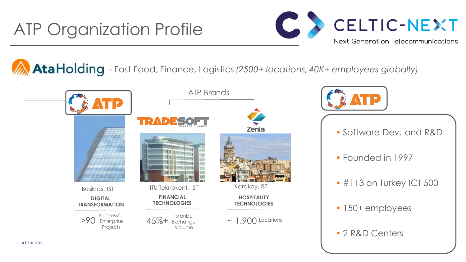## ATP Organization Profile



AtaHolding - Fast Food, Finance, Logistics (2500+ locations, 40K+ employees globally)





- Software Dev. and R&D
- **Founded in 1997**
- **#113 on Turkey ICT 500**
- **150+ employees**
- **2 R&D Centers**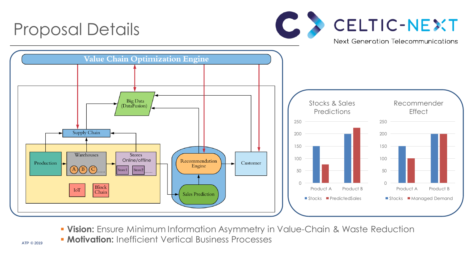

- **Vision:** Ensure Minimum Information Asymmetry in Value-Chain & Waste Reduction
- **Motivation:** Inefficient Vertical Business Processes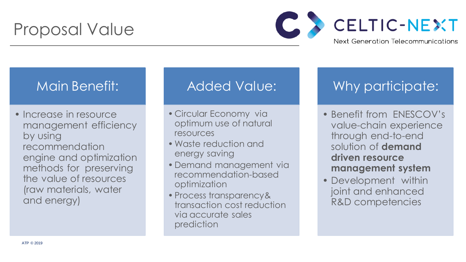## Proposal Value



### Main Benefit:

• Increase in resource management efficiency by using recommendation engine and optimization methods for preserving the value of resources (raw materials, water and energy)

### Added Value:

- Circular Economy via optimum use of natural resources
- •Waste reduction and energy saving
- Demand management via recommendation-based optimization
- Process transparency& transaction cost reduction via accurate sales prediction

## Why participate:

- Benefit from ENESCOV's value-chain experience through end-to-end solution of **demand driven resource management system**
- Development within joint and enhanced R&D competencies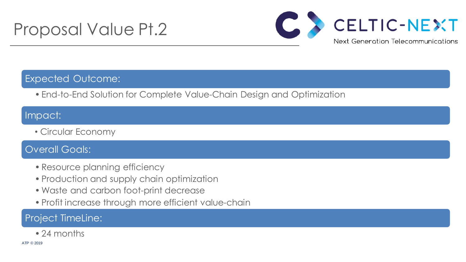## Proposal Value Pt.2



#### Expected Outcome:

• End-to-End Solution for Complete Value-Chain Design and Optimization

#### Impact:

• Circular Economy

#### Overall Goals:

- Resource planning efficiency
- Production and supply chain optimization
- •Waste and carbon foot-print decrease
- Profit increase through more efficient value-chain

#### Project TimeLine:

• 24 months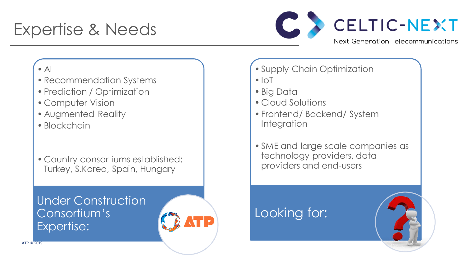## Expertise & Needs



#### $\bullet$  Al

- Recommendation Systems
- Prediction / Optimization
- Computer Vision
- Augmented Reality
- Blockchain
- Country consortiums established: Turkey, S.Korea, Spain, Hungary

### Under Construction Consortium's Expertise:



- Supply Chain Optimization
- $\cdot$  IoT
- Big Data
- Cloud Solutions
- Frontend/ Backend/ System Integration
- SME and large scale companies as technology providers, data providers and end-users

### Looking for: